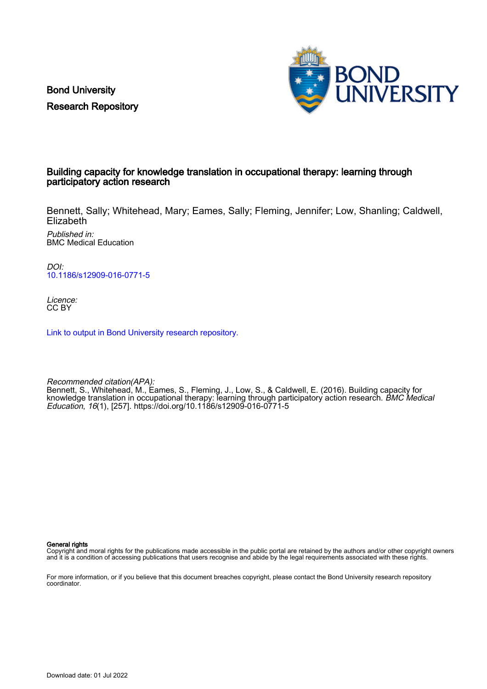Bond University Research Repository



# Building capacity for knowledge translation in occupational therapy: learning through participatory action research

Bennett, Sally; Whitehead, Mary; Eames, Sally; Fleming, Jennifer; Low, Shanling; Caldwell, Elizabeth

Published in: BMC Medical Education

DOI: [10.1186/s12909-016-0771-5](https://doi.org/10.1186/s12909-016-0771-5)

Licence: CC BY

[Link to output in Bond University research repository.](https://research.bond.edu.au/en/publications/b7f2f9c8-2d96-41ec-a337-b87def518bad)

Recommended citation(APA): Bennett, S., Whitehead, M., Eames, S., Fleming, J., Low, S., & Caldwell, E. (2016). Building capacity for knowledge translation in occupational therapy: learning through participatory action research. *BMC Medical* Education, 16(1), [257]. <https://doi.org/10.1186/s12909-016-0771-5>

General rights

Copyright and moral rights for the publications made accessible in the public portal are retained by the authors and/or other copyright owners and it is a condition of accessing publications that users recognise and abide by the legal requirements associated with these rights.

For more information, or if you believe that this document breaches copyright, please contact the Bond University research repository coordinator.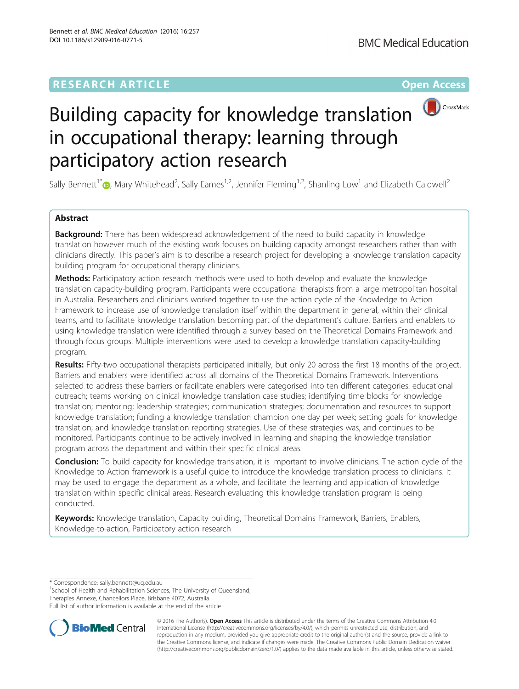# **RESEARCH ARTICLE Example 2014 12:30 The Community Community Community Community Community Community Community**



# Building capacity for knowledge translation in occupational therapy: learning through participatory action research

Sally Bennett<sup>1\*</sup> , Mary Whitehead<sup>2</sup>, Sally Eames<sup>1,2</sup>, Jennifer Fleming<sup>1,2</sup>, Shanling Low<sup>1</sup> and Elizabeth Caldwell<sup>2</sup>

# Abstract

**Background:** There has been widespread acknowledgement of the need to build capacity in knowledge translation however much of the existing work focuses on building capacity amongst researchers rather than with clinicians directly. This paper's aim is to describe a research project for developing a knowledge translation capacity building program for occupational therapy clinicians.

Methods: Participatory action research methods were used to both develop and evaluate the knowledge translation capacity-building program. Participants were occupational therapists from a large metropolitan hospital in Australia. Researchers and clinicians worked together to use the action cycle of the Knowledge to Action Framework to increase use of knowledge translation itself within the department in general, within their clinical teams, and to facilitate knowledge translation becoming part of the department's culture. Barriers and enablers to using knowledge translation were identified through a survey based on the Theoretical Domains Framework and through focus groups. Multiple interventions were used to develop a knowledge translation capacity-building program.

Results: Fifty-two occupational therapists participated initially, but only 20 across the first 18 months of the project. Barriers and enablers were identified across all domains of the Theoretical Domains Framework. Interventions selected to address these barriers or facilitate enablers were categorised into ten different categories: educational outreach; teams working on clinical knowledge translation case studies; identifying time blocks for knowledge translation; mentoring; leadership strategies; communication strategies; documentation and resources to support knowledge translation; funding a knowledge translation champion one day per week; setting goals for knowledge translation; and knowledge translation reporting strategies. Use of these strategies was, and continues to be monitored. Participants continue to be actively involved in learning and shaping the knowledge translation program across the department and within their specific clinical areas.

Conclusion: To build capacity for knowledge translation, it is important to involve clinicians. The action cycle of the Knowledge to Action framework is a useful guide to introduce the knowledge translation process to clinicians. It may be used to engage the department as a whole, and facilitate the learning and application of knowledge translation within specific clinical areas. Research evaluating this knowledge translation program is being conducted.

Keywords: Knowledge translation, Capacity building, Theoretical Domains Framework, Barriers, Enablers, Knowledge-to-action, Participatory action research

\* Correspondence: [sally.bennett@uq.edu.au](mailto:sally.bennett@uq.edu.au) <sup>1</sup>

<sup>1</sup>School of Health and Rehabilitation Sciences, The University of Queensland, Therapies Annexe, Chancellors Place, Brisbane 4072, Australia

Full list of author information is available at the end of the article



© 2016 The Author(s). Open Access This article is distributed under the terms of the Creative Commons Attribution 4.0 International License [\(http://creativecommons.org/licenses/by/4.0/](http://creativecommons.org/licenses/by/4.0/)), which permits unrestricted use, distribution, and reproduction in any medium, provided you give appropriate credit to the original author(s) and the source, provide a link to the Creative Commons license, and indicate if changes were made. The Creative Commons Public Domain Dedication waiver [\(http://creativecommons.org/publicdomain/zero/1.0/](http://creativecommons.org/publicdomain/zero/1.0/)) applies to the data made available in this article, unless otherwise stated.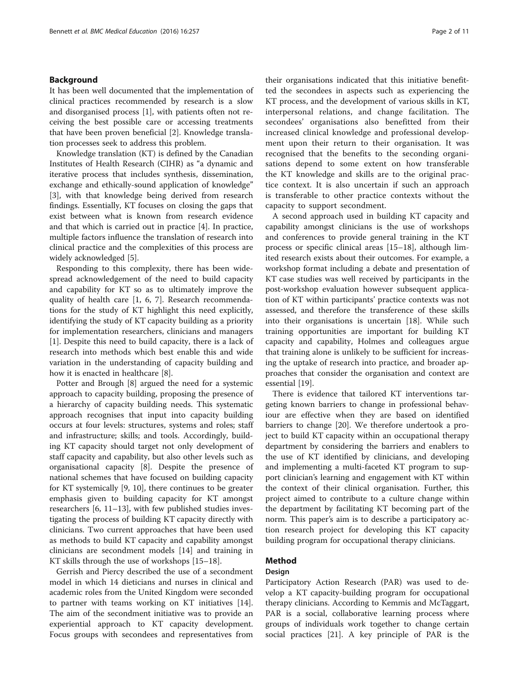# Background

It has been well documented that the implementation of clinical practices recommended by research is a slow and disorganised process [[1](#page-10-0)], with patients often not receiving the best possible care or accessing treatments that have been proven beneficial [\[2](#page-10-0)]. Knowledge translation processes seek to address this problem.

Knowledge translation (KT) is defined by the Canadian Institutes of Health Research (CIHR) as "a dynamic and iterative process that includes synthesis, dissemination, exchange and ethically-sound application of knowledge" [[3\]](#page-10-0), with that knowledge being derived from research findings. Essentially, KT focuses on closing the gaps that exist between what is known from research evidence and that which is carried out in practice [[4\]](#page-10-0). In practice, multiple factors influence the translation of research into clinical practice and the complexities of this process are widely acknowledged [\[5](#page-10-0)].

Responding to this complexity, there has been widespread acknowledgement of the need to build capacity and capability for KT so as to ultimately improve the quality of health care [\[1](#page-10-0), [6, 7\]](#page-10-0). Research recommendations for the study of KT highlight this need explicitly, identifying the study of KT capacity building as a priority for implementation researchers, clinicians and managers [[1\]](#page-10-0). Despite this need to build capacity, there is a lack of research into methods which best enable this and wide variation in the understanding of capacity building and how it is enacted in healthcare [\[8](#page-10-0)].

Potter and Brough [\[8](#page-10-0)] argued the need for a systemic approach to capacity building, proposing the presence of a hierarchy of capacity building needs. This systematic approach recognises that input into capacity building occurs at four levels: structures, systems and roles; staff and infrastructure; skills; and tools. Accordingly, building KT capacity should target not only development of staff capacity and capability, but also other levels such as organisational capacity [\[8](#page-10-0)]. Despite the presence of national schemes that have focused on building capacity for KT systemically [\[9, 10](#page-10-0)], there continues to be greater emphasis given to building capacity for KT amongst researchers [\[6, 11](#page-10-0)–[13\]](#page-10-0), with few published studies investigating the process of building KT capacity directly with clinicians. Two current approaches that have been used as methods to build KT capacity and capability amongst clinicians are secondment models [\[14](#page-10-0)] and training in KT skills through the use of workshops [[15](#page-10-0)–[18](#page-10-0)].

Gerrish and Piercy described the use of a secondment model in which 14 dieticians and nurses in clinical and academic roles from the United Kingdom were seconded to partner with teams working on KT initiatives [\[14](#page-10-0)]. The aim of the secondment initiative was to provide an experiential approach to KT capacity development. Focus groups with secondees and representatives from

their organisations indicated that this initiative benefitted the secondees in aspects such as experiencing the KT process, and the development of various skills in KT, interpersonal relations, and change facilitation. The secondees' organisations also benefitted from their increased clinical knowledge and professional development upon their return to their organisation. It was recognised that the benefits to the seconding organisations depend to some extent on how transferable the KT knowledge and skills are to the original practice context. It is also uncertain if such an approach is transferable to other practice contexts without the capacity to support secondment.

A second approach used in building KT capacity and capability amongst clinicians is the use of workshops and conferences to provide general training in the KT process or specific clinical areas [[15](#page-10-0)–[18](#page-10-0)], although limited research exists about their outcomes. For example, a workshop format including a debate and presentation of KT case studies was well received by participants in the post-workshop evaluation however subsequent application of KT within participants' practice contexts was not assessed, and therefore the transference of these skills into their organisations is uncertain [\[18\]](#page-10-0). While such training opportunities are important for building KT capacity and capability, Holmes and colleagues argue that training alone is unlikely to be sufficient for increasing the uptake of research into practice, and broader approaches that consider the organisation and context are essential [\[19](#page-10-0)].

There is evidence that tailored KT interventions targeting known barriers to change in professional behaviour are effective when they are based on identified barriers to change [[20\]](#page-10-0). We therefore undertook a project to build KT capacity within an occupational therapy department by considering the barriers and enablers to the use of KT identified by clinicians, and developing and implementing a multi-faceted KT program to support clinician's learning and engagement with KT within the context of their clinical organisation. Further, this project aimed to contribute to a culture change within the department by facilitating KT becoming part of the norm. This paper's aim is to describe a participatory action research project for developing this KT capacity building program for occupational therapy clinicians.

# Method

## Design

Participatory Action Research (PAR) was used to develop a KT capacity-building program for occupational therapy clinicians. According to Kemmis and McTaggart, PAR is a social, collaborative learning process where groups of individuals work together to change certain social practices [[21\]](#page-10-0). A key principle of PAR is the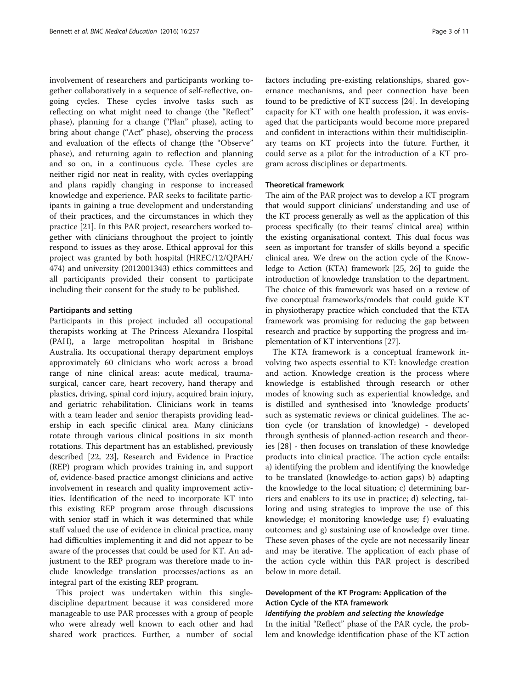involvement of researchers and participants working together collaboratively in a sequence of self-reflective, ongoing cycles. These cycles involve tasks such as reflecting on what might need to change (the "Reflect" phase), planning for a change ("Plan" phase), acting to bring about change ("Act" phase), observing the process and evaluation of the effects of change (the "Observe" phase), and returning again to reflection and planning and so on, in a continuous cycle. These cycles are neither rigid nor neat in reality, with cycles overlapping and plans rapidly changing in response to increased knowledge and experience. PAR seeks to facilitate participants in gaining a true development and understanding of their practices, and the circumstances in which they practice [[21\]](#page-10-0). In this PAR project, researchers worked together with clinicians throughout the project to jointly respond to issues as they arose. Ethical approval for this project was granted by both hospital (HREC/12/QPAH/ 474) and university (2012001343) ethics committees and all participants provided their consent to participate including their consent for the study to be published.

# Participants and setting

Participants in this project included all occupational therapists working at The Princess Alexandra Hospital (PAH), a large metropolitan hospital in Brisbane Australia. Its occupational therapy department employs approximately 60 clinicians who work across a broad range of nine clinical areas: acute medical, traumasurgical, cancer care, heart recovery, hand therapy and plastics, driving, spinal cord injury, acquired brain injury, and geriatric rehabilitation. Clinicians work in teams with a team leader and senior therapists providing leadership in each specific clinical area. Many clinicians rotate through various clinical positions in six month rotations. This department has an established, previously described [[22, 23\]](#page-10-0), Research and Evidence in Practice (REP) program which provides training in, and support of, evidence-based practice amongst clinicians and active involvement in research and quality improvement activities. Identification of the need to incorporate KT into this existing REP program arose through discussions with senior staff in which it was determined that while staff valued the use of evidence in clinical practice, many had difficulties implementing it and did not appear to be aware of the processes that could be used for KT. An adjustment to the REP program was therefore made to include knowledge translation processes/actions as an integral part of the existing REP program.

This project was undertaken within this singlediscipline department because it was considered more manageable to use PAR processes with a group of people who were already well known to each other and had shared work practices. Further, a number of social factors including pre-existing relationships, shared governance mechanisms, and peer connection have been found to be predictive of KT success [[24\]](#page-10-0). In developing capacity for KT with one health profession, it was envisaged that the participants would become more prepared and confident in interactions within their multidisciplinary teams on KT projects into the future. Further, it could serve as a pilot for the introduction of a KT program across disciplines or departments.

### Theoretical framework

The aim of the PAR project was to develop a KT program that would support clinicians' understanding and use of the KT process generally as well as the application of this process specifically (to their teams' clinical area) within the existing organisational context. This dual focus was seen as important for transfer of skills beyond a specific clinical area. We drew on the action cycle of the Knowledge to Action (KTA) framework [\[25, 26\]](#page-10-0) to guide the introduction of knowledge translation to the department. The choice of this framework was based on a review of five conceptual frameworks/models that could guide KT in physiotherapy practice which concluded that the KTA framework was promising for reducing the gap between research and practice by supporting the progress and implementation of KT interventions [[27](#page-10-0)].

The KTA framework is a conceptual framework involving two aspects essential to KT: knowledge creation and action. Knowledge creation is the process where knowledge is established through research or other modes of knowing such as experiential knowledge, and is distilled and synthesised into 'knowledge products' such as systematic reviews or clinical guidelines. The action cycle (or translation of knowledge) - developed through synthesis of planned-action research and theories [[28\]](#page-10-0) - then focuses on translation of these knowledge products into clinical practice. The action cycle entails: a) identifying the problem and identifying the knowledge to be translated (knowledge-to-action gaps) b) adapting the knowledge to the local situation; c) determining barriers and enablers to its use in practice; d) selecting, tailoring and using strategies to improve the use of this knowledge; e) monitoring knowledge use; f) evaluating outcomes; and g) sustaining use of knowledge over time. These seven phases of the cycle are not necessarily linear and may be iterative. The application of each phase of the action cycle within this PAR project is described below in more detail.

# Development of the KT Program: Application of the Action Cycle of the KTA framework

# Identifying the problem and selecting the knowledge

In the initial "Reflect" phase of the PAR cycle, the problem and knowledge identification phase of the KT action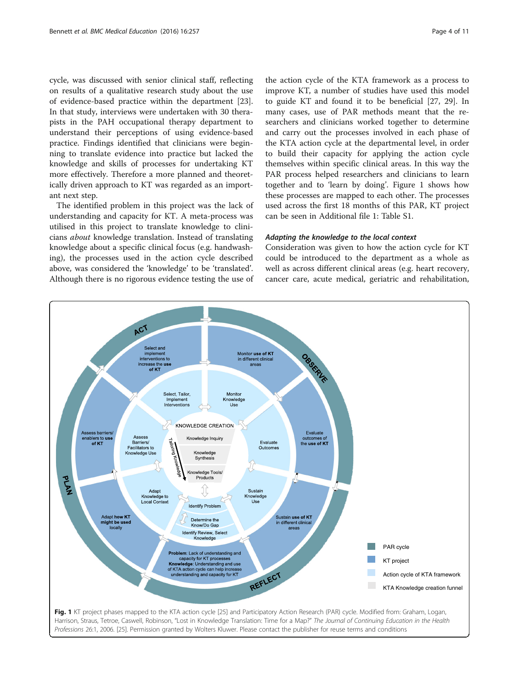<span id="page-4-0"></span>cycle, was discussed with senior clinical staff, reflecting on results of a qualitative research study about the use of evidence-based practice within the department [\[23](#page-10-0)]. In that study, interviews were undertaken with 30 therapists in the PAH occupational therapy department to understand their perceptions of using evidence-based practice. Findings identified that clinicians were beginning to translate evidence into practice but lacked the knowledge and skills of processes for undertaking KT more effectively. Therefore a more planned and theoretically driven approach to KT was regarded as an important next step.

The identified problem in this project was the lack of understanding and capacity for KT. A meta-process was utilised in this project to translate knowledge to clinicians about knowledge translation. Instead of translating knowledge about a specific clinical focus (e.g. handwashing), the processes used in the action cycle described above, was considered the 'knowledge' to be 'translated'. Although there is no rigorous evidence testing the use of the action cycle of the KTA framework as a process to improve KT, a number of studies have used this model to guide KT and found it to be beneficial [[27](#page-10-0), [29\]](#page-10-0). In many cases, use of PAR methods meant that the researchers and clinicians worked together to determine and carry out the processes involved in each phase of the KTA action cycle at the departmental level, in order to build their capacity for applying the action cycle themselves within specific clinical areas. In this way the PAR process helped researchers and clinicians to learn together and to 'learn by doing'. Figure 1 shows how these processes are mapped to each other. The processes used across the first 18 months of this PAR, KT project can be seen in Additional file [1:](#page-9-0) Table S1.

## Adapting the knowledge to the local context

Consideration was given to how the action cycle for KT could be introduced to the department as a whole as well as across different clinical areas (e.g. heart recovery, cancer care, acute medical, geriatric and rehabilitation,

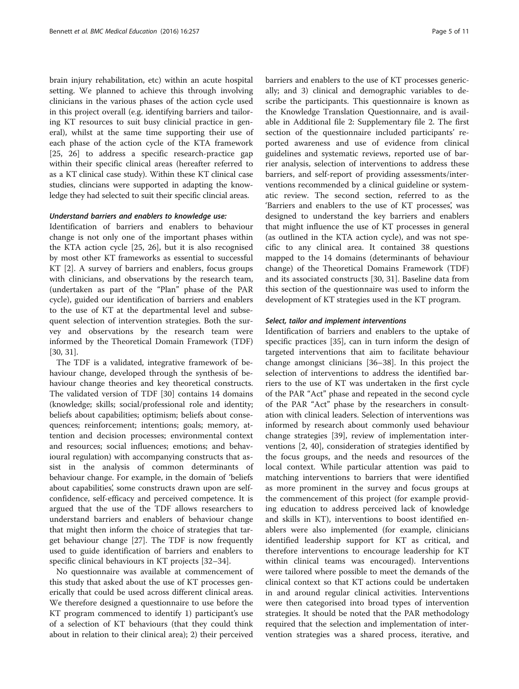brain injury rehabilitation, etc) within an acute hospital setting. We planned to achieve this through involving clinicians in the various phases of the action cycle used in this project overall (e.g. identifying barriers and tailoring KT resources to suit busy clinicial practice in general), whilst at the same time supporting their use of each phase of the action cycle of the KTA framework [[25, 26](#page-10-0)] to address a specific research-practice gap within their specific clinical areas (hereafter referred to as a KT clinical case study). Within these KT clinical case studies, clincians were supported in adapting the knowledge they had selected to suit their specific clincial areas.

#### Understand barriers and enablers to knowledge use:

Identification of barriers and enablers to behaviour change is not only one of the important phases within the KTA action cycle [[25, 26\]](#page-10-0), but it is also recognised by most other KT frameworks as essential to successful KT [[2\]](#page-10-0). A survey of barriers and enablers, focus groups with clinicians, and observations by the research team, (undertaken as part of the "Plan" phase of the PAR cycle), guided our identification of barriers and enablers to the use of KT at the departmental level and subsequent selection of intervention strategies. Both the survey and observations by the research team were informed by the Theoretical Domain Framework (TDF) [[30, 31\]](#page-10-0).

The TDF is a validated, integrative framework of behaviour change, developed through the synthesis of behaviour change theories and key theoretical constructs. The validated version of TDF [[30](#page-10-0)] contains 14 domains (knowledge; skills; social/professional role and identity; beliefs about capabilities; optimism; beliefs about consequences; reinforcement; intentions; goals; memory, attention and decision processes; environmental context and resources; social influences; emotions; and behavioural regulation) with accompanying constructs that assist in the analysis of common determinants of behaviour change. For example, in the domain of 'beliefs about capabilities', some constructs drawn upon are selfconfidence, self-efficacy and perceived competence. It is argued that the use of the TDF allows researchers to understand barriers and enablers of behaviour change that might then inform the choice of strategies that target behaviour change [\[27\]](#page-10-0). The TDF is now frequently used to guide identification of barriers and enablers to specific clinical behaviours in KT projects [\[32](#page-10-0)–[34\]](#page-10-0).

No questionnaire was available at commencement of this study that asked about the use of KT processes generically that could be used across different clinical areas. We therefore designed a questionnaire to use before the KT program commenced to identify 1) participant's use of a selection of KT behaviours (that they could think about in relation to their clinical area); 2) their perceived barriers and enablers to the use of KT processes generically; and 3) clinical and demographic variables to describe the participants. This questionnaire is known as the Knowledge Translation Questionnaire, and is available in Additional file [2:](#page-9-0) Supplementary file 2. The first section of the questionnaire included participants' reported awareness and use of evidence from clinical guidelines and systematic reviews, reported use of barrier analysis, selection of interventions to address these barriers, and self-report of providing assessments/interventions recommended by a clinical guideline or systematic review. The second section, referred to as the 'Barriers and enablers to the use of KT processes', was designed to understand the key barriers and enablers that might influence the use of KT processes in general (as outlined in the KTA action cycle), and was not specific to any clinical area. It contained 38 questions mapped to the 14 domains (determinants of behaviour change) of the Theoretical Domains Framework (TDF) and its associated constructs [[30](#page-10-0), [31](#page-10-0)]. Baseline data from this section of the questionnaire was used to inform the development of KT strategies used in the KT program.

#### Select, tailor and implement interventions

Identification of barriers and enablers to the uptake of specific practices [[35\]](#page-10-0), can in turn inform the design of targeted interventions that aim to facilitate behaviour change amongst clinicians [[36](#page-10-0)–[38](#page-11-0)]. In this project the selection of interventions to address the identified barriers to the use of KT was undertaken in the first cycle of the PAR "Act" phase and repeated in the second cycle of the PAR "Act" phase by the researchers in consultation with clinical leaders. Selection of interventions was informed by research about commonly used behaviour change strategies [[39](#page-11-0)], review of implementation interventions [[2,](#page-10-0) [40](#page-11-0)], consideration of strategies identified by the focus groups, and the needs and resources of the local context. While particular attention was paid to matching interventions to barriers that were identified as more prominent in the survey and focus groups at the commencement of this project (for example providing education to address perceived lack of knowledge and skills in KT), interventions to boost identified enablers were also implemented (for example, clinicians identified leadership support for KT as critical, and therefore interventions to encourage leadership for KT within clinical teams was encouraged). Interventions were tailored where possible to meet the demands of the clinical context so that KT actions could be undertaken in and around regular clinical activities. Interventions were then categorised into broad types of intervention strategies. It should be noted that the PAR methodology required that the selection and implementation of intervention strategies was a shared process, iterative, and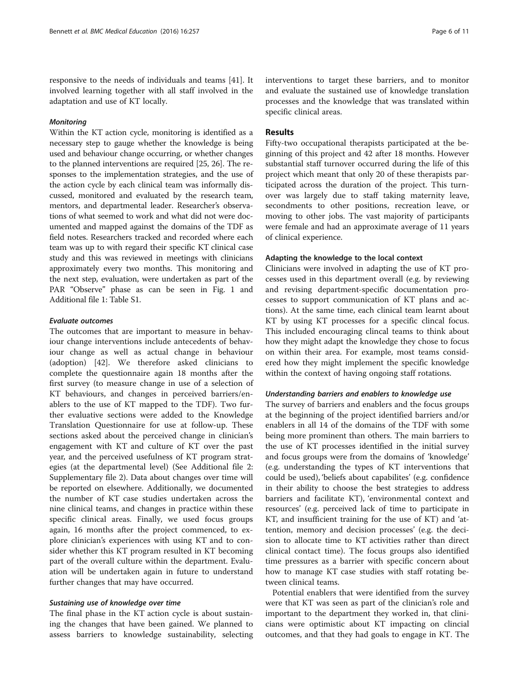responsive to the needs of individuals and teams [[41](#page-11-0)]. It involved learning together with all staff involved in the adaptation and use of KT locally.

# **Monitoring**

Within the KT action cycle, monitoring is identified as a necessary step to gauge whether the knowledge is being used and behaviour change occurring, or whether changes to the planned interventions are required [\[25, 26](#page-10-0)]. The responses to the implementation strategies, and the use of the action cycle by each clinical team was informally discussed, monitored and evaluated by the research team, mentors, and departmental leader. Researcher's observations of what seemed to work and what did not were documented and mapped against the domains of the TDF as field notes. Researchers tracked and recorded where each team was up to with regard their specific KT clinical case study and this was reviewed in meetings with clinicians approximately every two months. This monitoring and the next step, evaluation, were undertaken as part of the PAR "Observe" phase as can be seen in Fig. [1](#page-4-0) and Additional file [1](#page-9-0): Table S1.

### Evaluate outcomes

The outcomes that are important to measure in behaviour change interventions include antecedents of behaviour change as well as actual change in behaviour (adoption) [\[42\]](#page-11-0). We therefore asked clinicians to complete the questionnaire again 18 months after the first survey (to measure change in use of a selection of KT behaviours, and changes in perceived barriers/enablers to the use of KT mapped to the TDF). Two further evaluative sections were added to the Knowledge Translation Questionnaire for use at follow-up. These sections asked about the perceived change in clinician's engagement with KT and culture of KT over the past year, and the perceived usefulness of KT program strategies (at the departmental level) (See Additional file [2](#page-9-0): Supplementary file 2). Data about changes over time will be reported on elsewhere. Additionally, we documented the number of KT case studies undertaken across the nine clinical teams, and changes in practice within these specific clinical areas. Finally, we used focus groups again, 16 months after the project commenced, to explore clinician's experiences with using KT and to consider whether this KT program resulted in KT becoming part of the overall culture within the department. Evaluation will be undertaken again in future to understand further changes that may have occurred.

#### Sustaining use of knowledge over time

The final phase in the KT action cycle is about sustaining the changes that have been gained. We planned to assess barriers to knowledge sustainability, selecting interventions to target these barriers, and to monitor and evaluate the sustained use of knowledge translation processes and the knowledge that was translated within specific clinical areas.

# Results

Fifty-two occupational therapists participated at the beginning of this project and 42 after 18 months. However substantial staff turnover occurred during the life of this project which meant that only 20 of these therapists participated across the duration of the project. This turnover was largely due to staff taking maternity leave, secondments to other positions, recreation leave, or moving to other jobs. The vast majority of participants were female and had an approximate average of 11 years of clinical experience.

#### Adapting the knowledge to the local context

Clinicians were involved in adapting the use of KT processes used in this department overall (e.g. by reviewing and revising department-specific documentation processes to support communication of KT plans and actions). At the same time, each clinical team learnt about KT by using KT processes for a specific clincal focus. This included encouraging clincal teams to think about how they might adapt the knowledge they chose to focus on within their area. For example, most teams considered how they might implement the specific knowledge within the context of having ongoing staff rotations.

### Understanding barriers and enablers to knowledge use

The survey of barriers and enablers and the focus groups at the beginning of the project identified barriers and/or enablers in all 14 of the domains of the TDF with some being more prominent than others. The main barriers to the use of KT processes identified in the initial survey and focus groups were from the domains of 'knowledge' (e.g. understanding the types of KT interventions that could be used), 'beliefs about capabilites' (e.g. confidence in their ability to choose the best strategies to address barriers and facilitate KT), 'environmental context and resources' (e.g. perceived lack of time to participate in KT, and insufficient training for the use of KT) and 'attention, memory and decision processes' (e.g. the decision to allocate time to KT activities rather than direct clinical contact time). The focus groups also identified time pressures as a barrier with specific concern about how to manage KT case studies with staff rotating between clinical teams.

Potential enablers that were identified from the survey were that KT was seen as part of the clinician's role and important to the department they worked in, that clinicians were optimistic about KT impacting on clincial outcomes, and that they had goals to engage in KT. The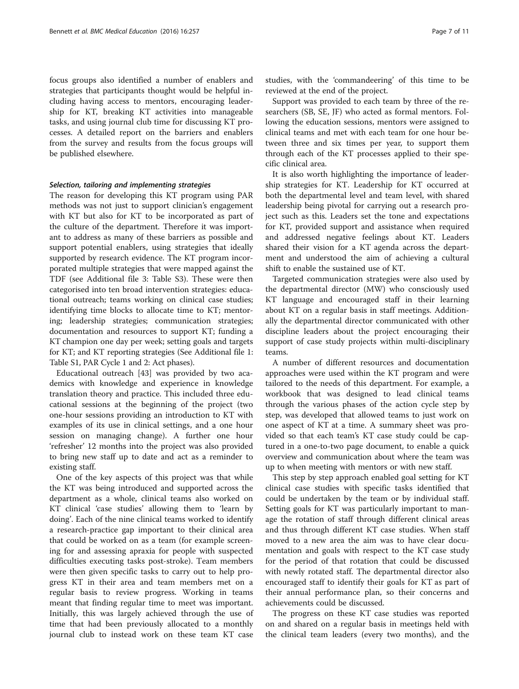focus groups also identified a number of enablers and strategies that participants thought would be helpful including having access to mentors, encouraging leadership for KT, breaking KT activities into manageable tasks, and using journal club time for discussing KT processes. A detailed report on the barriers and enablers from the survey and results from the focus groups will be published elsewhere.

#### Selection, tailoring and implementing strategies

The reason for developing this KT program using PAR methods was not just to support clinician's engagement with KT but also for KT to be incorporated as part of the culture of the department. Therefore it was important to address as many of these barriers as possible and support potential enablers, using strategies that ideally supported by research evidence. The KT program incorporated multiple strategies that were mapped against the TDF (see Additional file [3](#page-9-0): Table S3). These were then categorised into ten broad intervention strategies: educational outreach; teams working on clinical case studies; identifying time blocks to allocate time to KT; mentoring; leadership strategies; communication strategies; documentation and resources to support KT; funding a KT champion one day per week; setting goals and targets for KT; and KT reporting strategies (See Additional file [1](#page-9-0): Table S1, PAR Cycle 1 and 2: Act phases).

Educational outreach [\[43](#page-11-0)] was provided by two academics with knowledge and experience in knowledge translation theory and practice. This included three educational sessions at the beginning of the project (two one-hour sessions providing an introduction to KT with examples of its use in clinical settings, and a one hour session on managing change). A further one hour 'refresher' 12 months into the project was also provided to bring new staff up to date and act as a reminder to existing staff.

One of the key aspects of this project was that while the KT was being introduced and supported across the department as a whole, clinical teams also worked on KT clinical 'case studies' allowing them to 'learn by doing'. Each of the nine clinical teams worked to identify a research-practice gap important to their clinical area that could be worked on as a team (for example screening for and assessing apraxia for people with suspected difficulties executing tasks post-stroke). Team members were then given specific tasks to carry out to help progress KT in their area and team members met on a regular basis to review progress. Working in teams meant that finding regular time to meet was important. Initially, this was largely achieved through the use of time that had been previously allocated to a monthly journal club to instead work on these team KT case studies, with the 'commandeering' of this time to be reviewed at the end of the project.

Support was provided to each team by three of the researchers (SB, SE, JF) who acted as formal mentors. Following the education sessions, mentors were assigned to clinical teams and met with each team for one hour between three and six times per year, to support them through each of the KT processes applied to their specific clinical area.

It is also worth highlighting the importance of leadership strategies for KT. Leadership for KT occurred at both the departmental level and team level, with shared leadership being pivotal for carrying out a research project such as this. Leaders set the tone and expectations for KT, provided support and assistance when required and addressed negative feelings about KT. Leaders shared their vision for a KT agenda across the department and understood the aim of achieving a cultural shift to enable the sustained use of KT.

Targeted communication strategies were also used by the departmental director (MW) who consciously used KT language and encouraged staff in their learning about KT on a regular basis in staff meetings. Additionally the departmental director communicated with other discipline leaders about the project encouraging their support of case study projects within multi-disciplinary teams.

A number of different resources and documentation approaches were used within the KT program and were tailored to the needs of this department. For example, a workbook that was designed to lead clinical teams through the various phases of the action cycle step by step, was developed that allowed teams to just work on one aspect of KT at a time. A summary sheet was provided so that each team's KT case study could be captured in a one-to-two page document, to enable a quick overview and communication about where the team was up to when meeting with mentors or with new staff.

This step by step approach enabled goal setting for KT clinical case studies with specific tasks identified that could be undertaken by the team or by individual staff. Setting goals for KT was particularly important to manage the rotation of staff through different clinical areas and thus through different KT case studies. When staff moved to a new area the aim was to have clear documentation and goals with respect to the KT case study for the period of that rotation that could be discussed with newly rotated staff. The departmental director also encouraged staff to identify their goals for KT as part of their annual performance plan, so their concerns and achievements could be discussed.

The progress on these KT case studies was reported on and shared on a regular basis in meetings held with the clinical team leaders (every two months), and the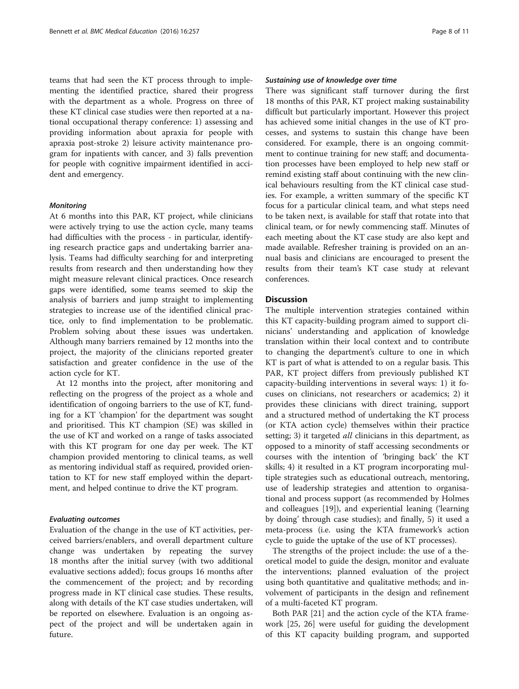teams that had seen the KT process through to implementing the identified practice, shared their progress with the department as a whole. Progress on three of these KT clinical case studies were then reported at a national occupational therapy conference: 1) assessing and providing information about apraxia for people with apraxia post-stroke 2) leisure activity maintenance program for inpatients with cancer, and 3) falls prevention for people with cognitive impairment identified in accident and emergency.

#### **Monitoring**

At 6 months into this PAR, KT project, while clinicians were actively trying to use the action cycle, many teams had difficulties with the process - in particular, identifying research practice gaps and undertaking barrier analysis. Teams had difficulty searching for and interpreting results from research and then understanding how they might measure relevant clinical practices. Once research gaps were identified, some teams seemed to skip the analysis of barriers and jump straight to implementing strategies to increase use of the identified clinical practice, only to find implementation to be problematic. Problem solving about these issues was undertaken. Although many barriers remained by 12 months into the project, the majority of the clinicians reported greater satisfaction and greater confidence in the use of the action cycle for KT.

At 12 months into the project, after monitoring and reflecting on the progress of the project as a whole and identification of ongoing barriers to the use of KT, funding for a KT 'champion' for the department was sought and prioritised. This KT champion (SE) was skilled in the use of KT and worked on a range of tasks associated with this KT program for one day per week. The KT champion provided mentoring to clinical teams, as well as mentoring individual staff as required, provided orientation to KT for new staff employed within the department, and helped continue to drive the KT program.

# Evaluating outcomes

Evaluation of the change in the use of KT activities, perceived barriers/enablers, and overall department culture change was undertaken by repeating the survey 18 months after the initial survey (with two additional evaluative sections added); focus groups 16 months after the commencement of the project; and by recording progress made in KT clinical case studies. These results, along with details of the KT case studies undertaken, will be reported on elsewhere. Evaluation is an ongoing aspect of the project and will be undertaken again in future.

# Sustaining use of knowledge over time

There was significant staff turnover during the first 18 months of this PAR, KT project making sustainability difficult but particularly important. However this project has achieved some initial changes in the use of KT processes, and systems to sustain this change have been considered. For example, there is an ongoing commitment to continue training for new staff; and documentation processes have been employed to help new staff or remind existing staff about continuing with the new clinical behaviours resulting from the KT clinical case studies. For example, a written summary of the specific KT focus for a particular clinical team, and what steps need to be taken next, is available for staff that rotate into that clinical team, or for newly commencing staff. Minutes of each meeting about the KT case study are also kept and made available. Refresher training is provided on an annual basis and clinicians are encouraged to present the results from their team's KT case study at relevant conferences.

# **Discussion**

The multiple intervention strategies contained within this KT capacity-building program aimed to support clinicians' understanding and application of knowledge translation within their local context and to contribute to changing the department's culture to one in which KT is part of what is attended to on a regular basis. This PAR, KT project differs from previously published KT capacity-building interventions in several ways: 1) it focuses on clinicians, not researchers or academics; 2) it provides these clinicians with direct training, support and a structured method of undertaking the KT process (or KTA action cycle) themselves within their practice setting; 3) it targeted *all* clinicians in this department, as opposed to a minority of staff accessing secondments or courses with the intention of 'bringing back' the KT skills; 4) it resulted in a KT program incorporating multiple strategies such as educational outreach, mentoring, use of leadership strategies and attention to organisational and process support (as recommended by Holmes and colleagues [\[19\]](#page-10-0)), and experiential leaning ('learning by doing' through case studies); and finally, 5) it used a meta-process (i.e. using the KTA framework's action cycle to guide the uptake of the use of KT processes).

The strengths of the project include: the use of a theoretical model to guide the design, monitor and evaluate the interventions; planned evaluation of the project using both quantitative and qualitative methods; and involvement of participants in the design and refinement of a multi-faceted KT program.

Both PAR [[21](#page-10-0)] and the action cycle of the KTA framework [[25](#page-10-0), [26\]](#page-10-0) were useful for guiding the development of this KT capacity building program, and supported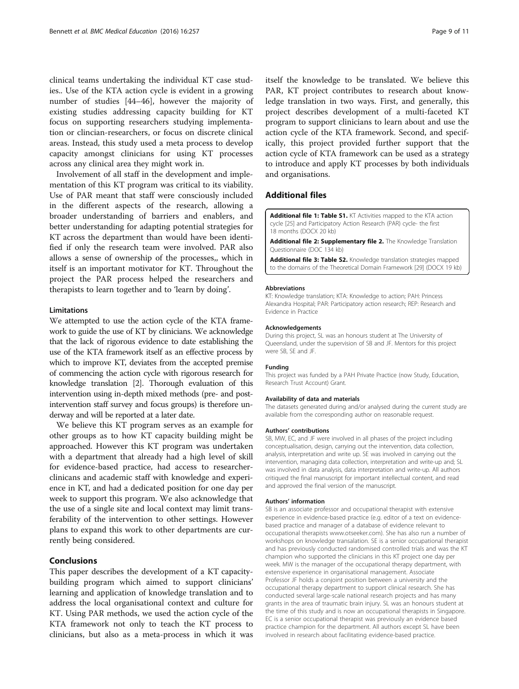<span id="page-9-0"></span>clinical teams undertaking the individual KT case studies.. Use of the KTA action cycle is evident in a growing number of studies [\[44](#page-11-0)–[46\]](#page-11-0), however the majority of existing studies addressing capacity building for KT focus on supporting researchers studying implementation or clincian-researchers, or focus on discrete clinical areas. Instead, this study used a meta process to develop capacity amongst clinicians for using KT processes across any clinical area they might work in.

Involvement of all staff in the development and implementation of this KT program was critical to its viability. Use of PAR meant that staff were consciously included in the different aspects of the research, allowing a broader understanding of barriers and enablers, and better understanding for adapting potential strategies for KT across the department than would have been identified if only the research team were involved. PAR also allows a sense of ownership of the processes,, which in itself is an important motivator for KT. Throughout the project the PAR process helped the researchers and therapists to learn together and to 'learn by doing'.

#### Limitations

We attempted to use the action cycle of the KTA framework to guide the use of KT by clinicians. We acknowledge that the lack of rigorous evidence to date establishing the use of the KTA framework itself as an effective process by which to improve KT, deviates from the accepted premise of commencing the action cycle with rigorous research for knowledge translation [\[2](#page-10-0)]. Thorough evaluation of this intervention using in-depth mixed methods (pre- and postintervention staff survey and focus groups) is therefore underway and will be reported at a later date.

We believe this KT program serves as an example for other groups as to how KT capacity building might be approached. However this KT program was undertaken with a department that already had a high level of skill for evidence-based practice, had access to researcherclinicans and academic staff with knowledge and experience in KT, and had a dedicated position for one day per week to support this program. We also acknowledge that the use of a single site and local context may limit transferability of the intervention to other settings. However plans to expand this work to other departments are currently being considered.

# Conclusions

This paper describes the development of a KT capacitybuilding program which aimed to support clinicians' learning and application of knowledge translation and to address the local organisational context and culture for KT. Using PAR methods, we used the action cycle of the KTA framework not only to teach the KT process to clinicians, but also as a meta-process in which it was

itself the knowledge to be translated. We believe this PAR, KT project contributes to research about knowledge translation in two ways. First, and generally, this project describes development of a multi-faceted KT program to support clinicians to learn about and use the action cycle of the KTA framework. Second, and specifically, this project provided further support that the action cycle of KTA framework can be used as a strategy to introduce and apply KT processes by both individuals and organisations.

# Additional files

[Additional file 1: Table S1.](dx.doi.org/10.1186/s12909-016-0771-5) KT Activities mapped to the KTA action cycle [\[25](#page-10-0)] and Participatory Action Research (PAR) cycle- the first 18 months (DOCX 20 kb)

[Additional file 2: Supplementary file 2.](dx.doi.org/10.1186/s12909-016-0771-5) The Knowledge Translation Questionnaire (DOC 134 kb)

[Additional file 3: Table S2.](dx.doi.org/10.1186/s12909-016-0771-5) Knowledge translation strategies mapped to the domains of the Theoretical Domain Framework [[29\]](#page-10-0) (DOCX 19 kb)

#### Abbreviations

KT: Knowledge translation; KTA: Knowledge to action; PAH: Princess Alexandra Hospital; PAR: Participatory action research; REP: Research and Evidence in Practice

#### Acknowledgements

During this project, SL was an honours student at The University of Queensland, under the supervision of SB and JF. Mentors for this project were SB, SE and JF.

#### Funding

This project was funded by a PAH Private Practice (now Study, Education, Research Trust Account) Grant.

#### Availability of data and materials

The datasets generated during and/or analysed during the current study are available from the corresponding author on reasonable request.

#### Authors' contributions

SB, MW, EC, and JF were involved in all phases of the project including conceptualisation, design, carrying out the intervention, data collection, analysis, interpretation and write up. SE was involved in carrying out the intervention, managing data collection, interpretation and write-up and; SL was involved in data analysis, data interpretation and write-up. All authors critiqued the final manuscript for important intellectual content, and read and approved the final version of the manuscript.

#### Authors' information

SB is an associate professor and occupational therapist with extensive experience in evidence-based practice (e.g. editor of a text on evidencebased practice and manager of a database of evidence relevant to occupational therapists [www.otseeker.com](http://www.otseeker.com/)). She has also run a number of workshops on knowledge transalation. SE is a senior occupational therapist and has previously conducted randomised controlled trials and was the KT champion who supported the clinicians in this KT project one day per week. MW is the manager of the occupational therapy department, with extensive experience in organisational management. Associate Professor JF holds a conjoint position between a university and the occupational therapy department to support clinical research. She has conducted several large-scale national research projects and has many grants in the area of traumatic brain injury. SL was an honours student at the time of this study and is now an occupational therapists in Singapore. EC is a senior occupational therapist was previously an evidence based practice champion for the department. All authors except SL have been involved in research about facilitating evidence-based practice.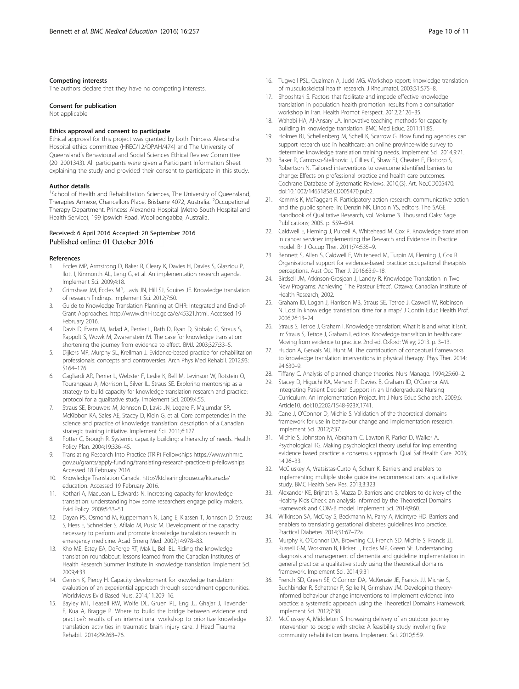#### <span id="page-10-0"></span>Competing interests

The authors declare that they have no competing interests.

#### Consent for publication

Not applicable

# Ethics approval and consent to participate

Ethical approval for this project was granted by both Princess Alexandra Hospital ethics committee (HREC/12/QPAH/474) and The University of Queensland's Behavioural and Social Sciences Ethical Review Committee (2012001343). All participants were given a Participant Information Sheet explaining the study and provided their consent to participate in this study.

#### Author details

<sup>1</sup>School of Health and Rehabilitation Sciences, The University of Queensland, Therapies Annexe, Chancellors Place, Brisbane 4072, Australia. <sup>2</sup>Occupational Therapy Department, Princess Alexandra Hospital (Metro South Hospital and Health Service), 199 Ipswich Road, Woolloongabba, Australia.

#### Received: 6 April 2016 Accepted: 20 September 2016 Published online: 01 October 2016

#### References

- 1. Eccles MP, Armstrong D, Baker R, Cleary K, Davies H, Davies S, Glasziou P, Ilott I, Kinmonth AL, Leng G, et al. An implementation research agenda. Implement Sci. 2009;4:18.
- 2. Grimshaw JM, Eccles MP, Lavis JN, Hill SJ, Squires JE. Knowledge translation of research findings. Implement Sci. 2012;7:50.
- 3. Guide to Knowledge Translation Planning at CIHR: Integrated and End-of-Grant Approaches.<http://www.cihr-irsc.gc.ca/e/45321.html>. Accessed 19 February 2016.
- 4. Davis D, Evans M, Jadad A, Perrier L, Rath D, Ryan D, Sibbald G, Straus S, Rappolt S, Wowk M, Zwarenstein M. The case for knowledge translation: shortening the journey from evidence to effect. BMJ. 2003;327:33–5.
- 5. Dijkers MP, Murphy SL, Krellman J. Evidence-based practice for rehabilitation professionals: concepts and controversies. Arch Phys Med Rehabil. 2012;93: S164–176.
- 6. Gagliardi AR, Perrier L, Webster F, Leslie K, Bell M, Levinson W, Rotstein O, Tourangeau A, Morrison L, Silver IL, Straus SE. Exploring mentorship as a strategy to build capacity for knowledge translation research and practice: protocol for a qualitative study. Implement Sci. 2009;4:55.
- 7. Straus SE, Brouwers M, Johnson D, Lavis JN, Legare F, Majumdar SR, McKibbon KA, Sales AE, Stacey D, Klein G, et al. Core competencies in the science and practice of knowledge translation: description of a Canadian strategic training initiative. Implement Sci. 2011;6:127.
- 8. Potter C, Brough R. Systemic capacity building: a hierarchy of needs. Health Policy Plan. 2004;19:336–45.
- 9. Translating Research Into Practice (TRIP) Fellowships [https://www.nhmrc.](https://www.nhmrc.gov.au/grants/apply-funding/translating-research-practice-trip-fellowships) [gov.au/grants/apply-funding/translating-research-practice-trip-fellowships.](https://www.nhmrc.gov.au/grants/apply-funding/translating-research-practice-trip-fellowships) Accessed 18 February 2016.
- 10. Knowledge Translation Canada. [http://ktclearinghouse.ca/ktcanada/](http://ktclearinghouse.ca/ktcanada/education) [education](http://ktclearinghouse.ca/ktcanada/education). Accessed 19 February 2016.
- 11. Kothari A, MacLean L, Edwards N. Increasing capacity for knowledge translation: understanding how some researchers engage policy makers. Evid Policy. 2009;5:33–51.
- 12. Dayan PS, Osmond M, Kuppermann N, Lang E, Klassen T, Johnson D, Strauss S, Hess E, Schneider S, Afilalo M, Pusic M. Development of the capacity necessary to perform and promote knowledge translation research in emergency medicine. Acad Emerg Med. 2007;14:978–83.
- 13. Kho ME, Estey EA, DeForge RT, Mak L, Bell BL. Riding the knowledge translation roundabout: lessons learned from the Canadian Institutes of Health Research Summer Institute in knowledge translation. Implement Sci. 2009;4:33.
- 14. Gerrish K, Piercy H. Capacity development for knowledge translation: evaluation of an experiential approach through secondment opportunities. Worldviews Evid Based Nurs. 2014;11:209–16.
- 15. Bayley MT, Teasell RW, Wolfe DL, Gruen RL, Eng JJ, Ghajar J, Tavender E, Kua A, Bragge P. Where to build the bridge between evidence and practice?: results of an international workshop to prioritize knowledge translation activities in traumatic brain injury care. J Head Trauma Rehabil. 2014;29:268–76.
- 16. Tugwell PSL, Qualman A, Judd MG. Workshop report: knowledge translation of musculoskeletal health research. J Rheumatol. 2003;31:575–8.
- 17. Shooshtari S. Factors that facilitate and impede effective knowledge translation in population health promotion: results from a consultation workshop in Iran. Health Promot Perspect. 2012;2:126–35.
- 18. Wahabi HA, Al-Ansary LA. Innovative teaching methods for capacity building in knowledge translation. BMC Med Educ. 2011;11:85.
- 19. Holmes BJ, Schellenberg M, Schell K, Scarrow G. How funding agencies can support research use in healthcare: an online province-wide survey to determine knowledge translation training needs. Implement Sci. 2014;9:71.
- 20. Baker R, Camosso-Stefinovic J, Gillies C, Shaw EJ, Cheater F, Flottorp S, Robertson N. Tailored interventions to overcome identified barriers to change: Effects on professional practice and health care outcomes. Cochrane Database of Systematic Reviews. 2010;(3). Art. No.:CD005470. doi[:10.1002/14651858.CD005470.pub2.](http://dx.doi.org/10.1002/14651858.CD005470.pub2)
- 21. Kemmis K, McTaggart R. Participatory action research: communicative action and the public sphere. In: Denzin NK, Lincoln YS, editors. The SAGE Handbook of Qualitative Research, vol. Volume 3. Thousand Oaks: Sage Publications; 2005. p. 559–604.
- 22. Caldwell E, Fleming J, Purcell A, Whitehead M, Cox R. Knowledge translation in cancer services: implementing the Research and Evidence in Practice model. Br J Occup Ther. 2011;74:535–9.
- 23. Bennett S, Allen S, Caldwell E, Whitehead M, Turpin M, Fleming J, Cox R. Organisational support for evidence-based practice: occupational therapists perceptions. Aust Occ Ther J. 2016;63:9–18.
- 24. Birdsell JM, Atkinson-Grosjean J, Landry R. Knowledge Translation in Two New Programs: Achieving 'The Pasteur Effect'. Ottawa: Canadian Institute of Health Research; 2002.
- 25. Graham ID, Logan J, Harrison MB, Straus SE, Tetroe J, Caswell W, Robinson N. Lost in knowledge translation: time for a map? J Contin Educ Health Prof. 2006;26:13–24.
- 26. Straus S, Tetroe J, Graham I. Knowledge translation: What it is and what it isn't. In: Straus S, Tetroe J, Graham I, editors. Knowledge transaltion in health care: Moving from evidence to practice. 2nd ed. Oxford: Wiley; 2013. p. 3–13.
- 27. Hudon A, Gervais MJ, Hunt M. The contribution of conceptual frameworks to knowledge translation interventions in physical therapy. Phys Ther. 2014; 94:630–9.
- 28. Tiffany C. Analysis of planned change theories. Nurs Manage. 1994;25:60–2.
- 29. Stacey D, Higuchi KA, Menard P, Davies B, Graham ID, O'Connor AM. Integrating Patient Decision Support in an Undergraduate Nursing Curriculum: An Implementation Project. Int J Nurs Educ Scholarsh. 2009;6: Article10. doi[:10.2202/1548-923X.1741.](http://dx.doi.org/10.2202/1548-923X.1741)
- 30. Cane J, O'Connor D, Michie S. Validation of the theoretical domains framework for use in behaviour change and implementation research. Implement Sci. 2012;7:37.
- 31. Michie S, Johnston M, Abraham C, Lawton R, Parker D, Walker A, Psychological TG. Making psychological theory useful for implementing evidence based practice: a consensus approach. Qual Saf Health Care. 2005; 14:26–33.
- 32. McCluskey A, Vratsistas-Curto A, Schurr K. Barriers and enablers to implementing multiple stroke guideline recommendations: a qualitative study. BMC Health Serv Res. 2013;3:323.
- 33. Alexander KE, Brijnath B, Mazza D. Barriers and enablers to delivery of the Healthy Kids Check: an analysis informed by the Theoretical Domains Framework and COM-B model. Implement Sci. 2014;9:60.
- 34. Wilkinson SA, McCray S, Beckmann M, Parry A, McIntyre HD. Barriers and enablers to translating gestational diabetes guidelines into practice. Practical Diabetes. 2014;31:67–72a.
- 35. Murphy K, O'Connor DA, Browning CJ, French SD, Michie S, Francis JJ, Russell GM, Workman B, Flicker L, Eccles MP, Green SE. Understanding diagnosis and management of dementia and guideline implementation in general practice: a qualitative study using the theoretical domains framework. Implement Sci. 2014;9:31.
- 36. French SD, Green SE, O'Connor DA, McKenzie JE, Francis JJ, Michie S, Buchbinder R, Schattner P, Spike N, Grimshaw JM. Developing theoryinformed behaviour change interventions to implement evidence into practice: a systematic approach using the Theoretical Domains Framework. Implement Sci. 2012;7:38.
- 37. McCluskey A, Middleton S. Increasing delivery of an outdoor journey intervention to people with stroke: A feasibility study involving five community rehabilitation teams. Implement Sci. 2010;5:59.